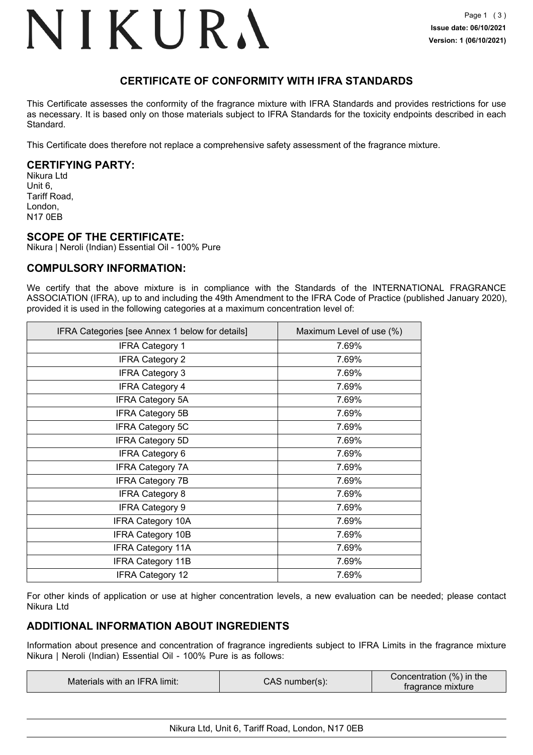### NIKURA

### **CERTIFICATE OF CONFORMITY WITH IFRA STANDARDS**

This Certificate assesses the conformity of the fragrance mixture with IFRA Standards and provides restrictions for use as necessary. It is based only on those materials subject to IFRA Standards for the toxicity endpoints described in each Standard.

This Certificate does therefore not replace a comprehensive safety assessment of the fragrance mixture.

### **CERTIFYING PARTY:**

Nikura Ltd Unit 6, Tariff Road, London, N17 0EB

### **SCOPE OF THE CERTIFICATE:**

Nikura | Neroli (Indian) Essential Oil - 100% Pure

### **COMPULSORY INFORMATION:**

We certify that the above mixture is in compliance with the Standards of the INTERNATIONAL FRAGRANCE ASSOCIATION (IFRA), up to and including the 49th Amendment to the IFRA Code of Practice (published January 2020), provided it is used in the following categories at a maximum concentration level of:

| IFRA Categories [see Annex 1 below for details] | Maximum Level of use (%) |
|-------------------------------------------------|--------------------------|
| <b>IFRA Category 1</b>                          | 7.69%                    |
| <b>IFRA Category 2</b>                          | 7.69%                    |
| <b>IFRA Category 3</b>                          | 7.69%                    |
| <b>IFRA Category 4</b>                          | 7.69%                    |
| <b>IFRA Category 5A</b>                         | 7.69%                    |
| <b>IFRA Category 5B</b>                         | 7.69%                    |
| <b>IFRA Category 5C</b>                         | 7.69%                    |
| <b>IFRA Category 5D</b>                         | 7.69%                    |
| <b>IFRA Category 6</b>                          | 7.69%                    |
| <b>IFRA Category 7A</b>                         | 7.69%                    |
| <b>IFRA Category 7B</b>                         | 7.69%                    |
| <b>IFRA Category 8</b>                          | 7.69%                    |
| <b>IFRA Category 9</b>                          | 7.69%                    |
| <b>IFRA Category 10A</b>                        | 7.69%                    |
| <b>IFRA Category 10B</b>                        | 7.69%                    |
| <b>IFRA Category 11A</b>                        | 7.69%                    |
| <b>IFRA Category 11B</b>                        | 7.69%                    |
| <b>IFRA Category 12</b>                         | 7.69%                    |

For other kinds of application or use at higher concentration levels, a new evaluation can be needed; please contact Nikura Ltd

### **ADDITIONAL INFORMATION ABOUT INGREDIENTS**

Information about presence and concentration of fragrance ingredients subject to IFRA Limits in the fragrance mixture Nikura | Neroli (Indian) Essential Oil - 100% Pure is as follows:

|  | Materials with an IFRA limit: | CAS number(s): | Concentration (%) in the<br>tragrance mixture |
|--|-------------------------------|----------------|-----------------------------------------------|
|--|-------------------------------|----------------|-----------------------------------------------|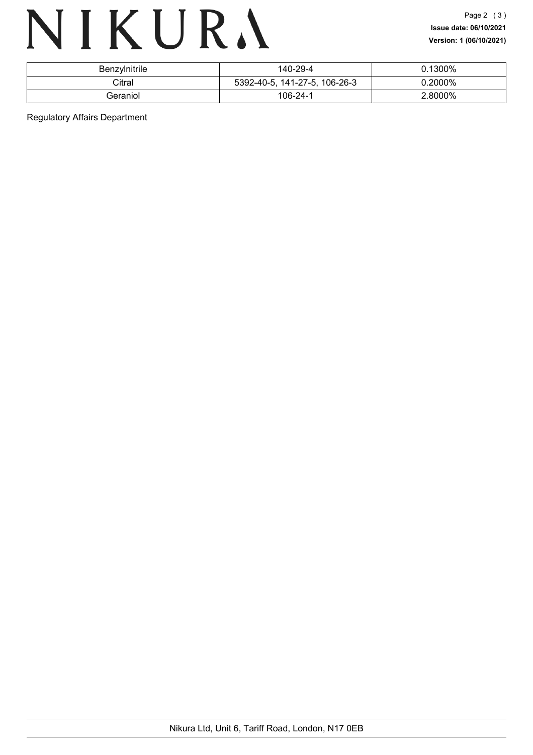## NIKURA

| Benzylnitrile | 140-29-4                      | 0.1300% |
|---------------|-------------------------------|---------|
| Citral        | 5392-40-5, 141-27-5, 106-26-3 | 0.2000% |
| Geraniol      | 106-24-1                      | 2.8000% |

Regulatory Affairs Department